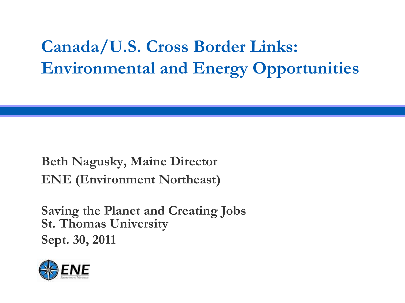## **Canada/U.S. Cross Border Links: Environmental and Energy Opportunities**

**Beth Nagusky, Maine Director ENE (Environment Northeast)**

**Saving the Planet and Creating Jobs St. Thomas University Sept. 30, 2011**

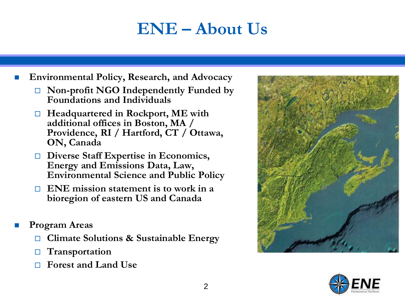### **ENE – About Us**

**Environmental Policy, Research, and Advocacy**

- **Non-profit NGO Independently Funded by Foundations and Individuals**
- **Headquartered in Rockport, ME with additional offices in Boston, MA / Providence, RI / Hartford, CT / Ottawa, ON, Canada**
- **Diverse Staff Expertise in Economics, Energy and Emissions Data, Law, Environmental Science and Public Policy**
- **ENE mission statement is to work in a bioregion of eastern US and Canada**
- **Program Areas**
	- **Climate Solutions & Sustainable Energy**
	- **Transportation**
	- **Forest and Land Use**



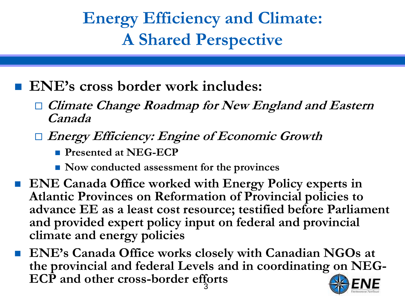## **Energy Efficiency and Climate: A Shared Perspective**

- **ENE's cross border work includes:**
	- **Climate Change Roadmap for New England and Eastern Canada**
	- **Energy Efficiency: Engine of Economic Growth**
		- **Presented at NEG-ECP**
		- Now conducted assessment for the provinces
- ENE Canada Office worked with Energy Policy experts in **Atlantic Provinces on Reformation of Provincial policies to advance EE as a least cost resource; testified before Parliament and provided expert policy input on federal and provincial climate and energy policies**
- 3 **ENE's Canada Office works closely with Canadian NGOs at the provincial and federal Levels and in coordinating on NEG-ECP and other cross-border efforts**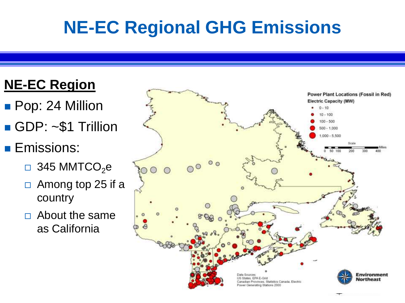# **NE-EC Regional GHG Emissions**

### **NE-EC Region**

- **Pop: 24 Million**
- GDP: ~\$1 Trillion
- **Emissions:** 
	- $\Box$  345 MMTCO<sub>2</sub>e
	- $\Box$  Among top 25 if a country
	- $\Box$  About the same as California

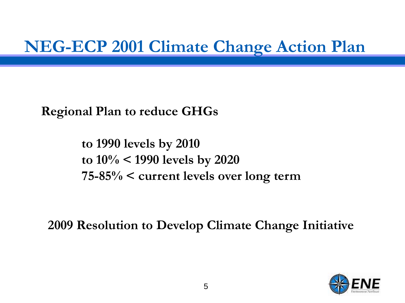### **NEG-ECP 2001 Climate Change Action Plan**

**Regional Plan to reduce GHGs**

**to 1990 levels by 2010 to 10% < 1990 levels by 2020 75-85% < current levels over long term**

**2009 Resolution to Develop Climate Change Initiative**

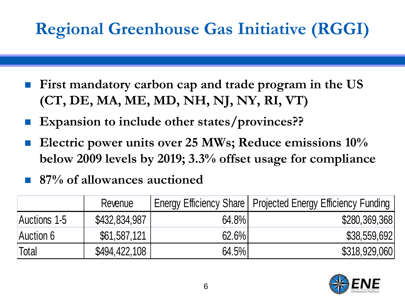# **Regional Greenhouse Gas Initiative (RGGI)**

- **First mandatory carbon cap and trade program in the US (CT, DE, MA, ME, MD, NH, NJ, NY, RI, VT)**
- **Expansion to include other states/provinces??**
- **Electric power units over 25 MWs; Reduce emissions 10% below 2009 levels by 2019; 3.3% offset usage for compliance**

### **87% of allowances auctioned**

|              | Revenue       |       | Energy Efficiency Share   Projected Energy Efficiency Funding |
|--------------|---------------|-------|---------------------------------------------------------------|
| Auctions 1-5 | \$432,834,987 | 64.8% | \$280,369,368                                                 |
| Auction 6    | \$61,587,121  | 62.6% | \$38,559,692                                                  |
| <b>Total</b> | \$494,422,108 | 64.5% | \$318,929,060                                                 |

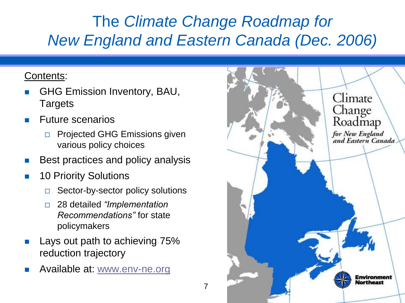### The *Climate Change Roadmap for New England and Eastern Canada (Dec. 2006)*

#### Contents:

- GHG Emission Inventory, BAU, **Targets**
- Future scenarios
	- **Projected GHG Emissions given** various policy choices
- Best practices and policy analysis
- **10 Priority Solutions** 
	- $\Box$  Sector-by-sector policy solutions
	- 28 detailed *"Implementation Recommendations"* for state policymakers
- Lays out path to achieving 75% reduction trajectory
- **Available at: [www.env-ne.org](http://www.env-ne.org/ENE_Climate_Change_Roadmap_New_England_Canada.htm)**

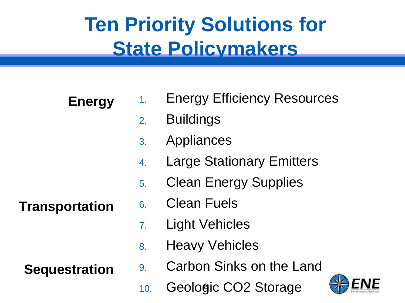# **Ten Priority Solutions for State Policymakers**

**Energy**

**Transportation**

**Sequestration**

- 1. Energy Efficiency Resources
- 2. Buildings
- 3. Appliances
- 4. Large Stationary Emitters
- 5. Clean Energy Supplies
- 6. Clean Fuels
- 7. Light Vehicles
- 8. Heavy Vehicles
- 9. Carbon Sinks on the Land
- 10. Geologic CO2 Storage

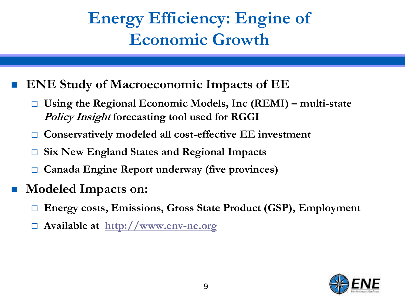## **Energy Efficiency: Engine of Economic Growth**

- **ENE Study of Macroeconomic Impacts of EE**
	- **Using the Regional Economic Models, Inc (REMI) – multi-state Policy Insight forecasting tool used for RGGI**
	- **Conservatively modeled all cost-effective EE investment**
	- **Six New England States and Regional Impacts**
	- **Canada Engine Report underway (five provinces)**
- **Modeled Impacts on:**
	- **Energy costs, Emissions, Gross State Product (GSP), Employment**
	- **Available at [http://www.env-ne.org](http://www.env-ne.org/)**

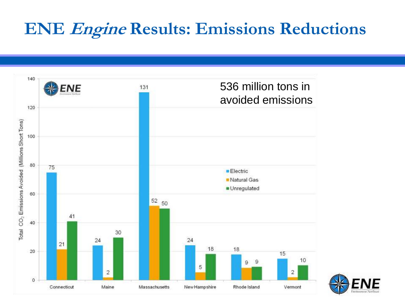### **ENE Engine Results: Emissions Reductions**



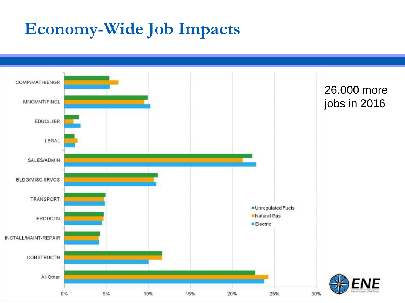### **Economy-Wide Job Impacts**

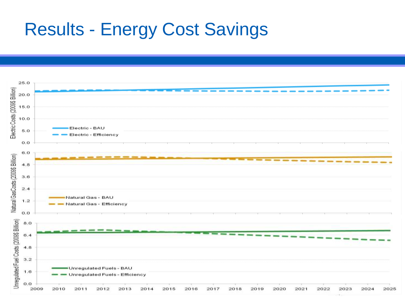## Results - Energy Cost Savings

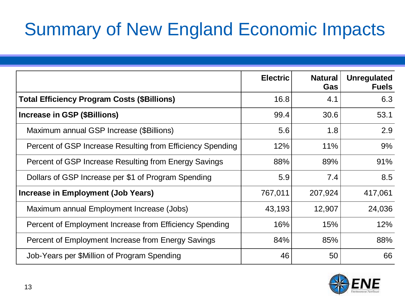# Summary of New England Economic Impacts

|                                                            | <b>Electric</b> | <b>Natural</b><br>Gas | <b>Unregulated</b><br><b>Fuels</b> |  |
|------------------------------------------------------------|-----------------|-----------------------|------------------------------------|--|
| <b>Total Efficiency Program Costs (\$Billions)</b>         | 16.8            | 4.1                   | 6.3                                |  |
| <b>Increase in GSP (\$Billions)</b>                        | 99.4            | 30.6                  | 53.1                               |  |
| Maximum annual GSP Increase (\$Billions)                   | 5.6             | 1.8                   | 2.9                                |  |
| Percent of GSP Increase Resulting from Efficiency Spending | 12%             | 11%                   | 9%                                 |  |
| Percent of GSP Increase Resulting from Energy Savings      | 88%             | 89%                   | 91%                                |  |
| Dollars of GSP Increase per \$1 of Program Spending        | 5.9             | 7.4                   | 8.5                                |  |
| Increase in Employment (Job Years)                         | 767,011         | 207,924               | 417,061                            |  |
| Maximum annual Employment Increase (Jobs)                  | 43,193          | 12,907                | 24,036                             |  |
| Percent of Employment Increase from Efficiency Spending    | 16%             | 15%                   | 12%                                |  |
| Percent of Employment Increase from Energy Savings         | 84%             | 85%                   | 88%                                |  |
| Job-Years per \$Million of Program Spending                | 46              | 50                    | 66                                 |  |